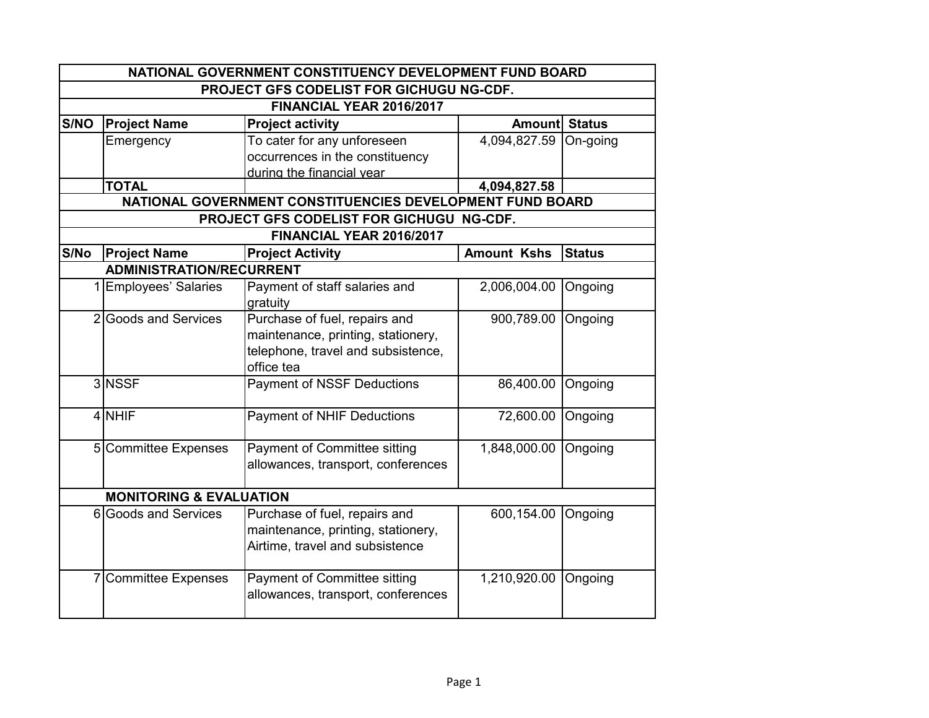|      | NATIONAL GOVERNMENT CONSTITUENCY DEVELOPMENT FUND BOARD |                                                           |                      |               |  |
|------|---------------------------------------------------------|-----------------------------------------------------------|----------------------|---------------|--|
|      | PROJECT GFS CODELIST FOR GICHUGU NG-CDF.                |                                                           |                      |               |  |
|      |                                                         | FINANCIAL YEAR 2016/2017                                  |                      |               |  |
| S/NO | <b>Project Name</b>                                     | <b>Project activity</b>                                   | <b>Amount Status</b> |               |  |
|      | Emergency                                               | To cater for any unforeseen                               | 4,094,827.59         | On-going      |  |
|      |                                                         | occurrences in the constituency                           |                      |               |  |
|      |                                                         | during the financial year                                 |                      |               |  |
|      | <b>TOTAL</b>                                            |                                                           | 4,094,827.58         |               |  |
|      |                                                         | NATIONAL GOVERNMENT CONSTITUENCIES DEVELOPMENT FUND BOARD |                      |               |  |
|      |                                                         | PROJECT GFS CODELIST FOR GICHUGU NG-CDF.                  |                      |               |  |
|      |                                                         | FINANCIAL YEAR 2016/2017                                  |                      |               |  |
| S/No | <b>Project Name</b>                                     | <b>Project Activity</b>                                   | <b>Amount Kshs</b>   | <b>Status</b> |  |
|      | <b>ADMINISTRATION/RECURRENT</b>                         |                                                           |                      |               |  |
|      | 1 Employees' Salaries                                   | Payment of staff salaries and                             | 2,006,004.00         | Ongoing       |  |
|      |                                                         | gratuity                                                  |                      |               |  |
|      | 2 Goods and Services                                    | Purchase of fuel, repairs and                             | 900,789.00           | Ongoing       |  |
|      |                                                         | maintenance, printing, stationery,                        |                      |               |  |
|      |                                                         | telephone, travel and subsistence,                        |                      |               |  |
|      |                                                         | office tea                                                |                      |               |  |
|      | 3 NSSF                                                  | <b>Payment of NSSF Deductions</b>                         | 86,400.00            | Ongoing       |  |
|      | 4 NHIF                                                  | <b>Payment of NHIF Deductions</b>                         | 72,600.00            | Ongoing       |  |
|      |                                                         |                                                           |                      |               |  |
|      | 5 Committee Expenses                                    | Payment of Committee sitting                              | 1,848,000.00         | Ongoing       |  |
|      |                                                         | allowances, transport, conferences                        |                      |               |  |
|      | <b>MONITORING &amp; EVALUATION</b>                      |                                                           |                      |               |  |
|      | 6 Goods and Services                                    | Purchase of fuel, repairs and                             | 600,154.00           | Ongoing       |  |
|      |                                                         | maintenance, printing, stationery,                        |                      |               |  |
|      |                                                         | Airtime, travel and subsistence                           |                      |               |  |
|      |                                                         |                                                           |                      |               |  |
|      | 7 Committee Expenses                                    | Payment of Committee sitting                              | 1,210,920.00         | Ongoing       |  |
|      |                                                         | allowances, transport, conferences                        |                      |               |  |
|      |                                                         |                                                           |                      |               |  |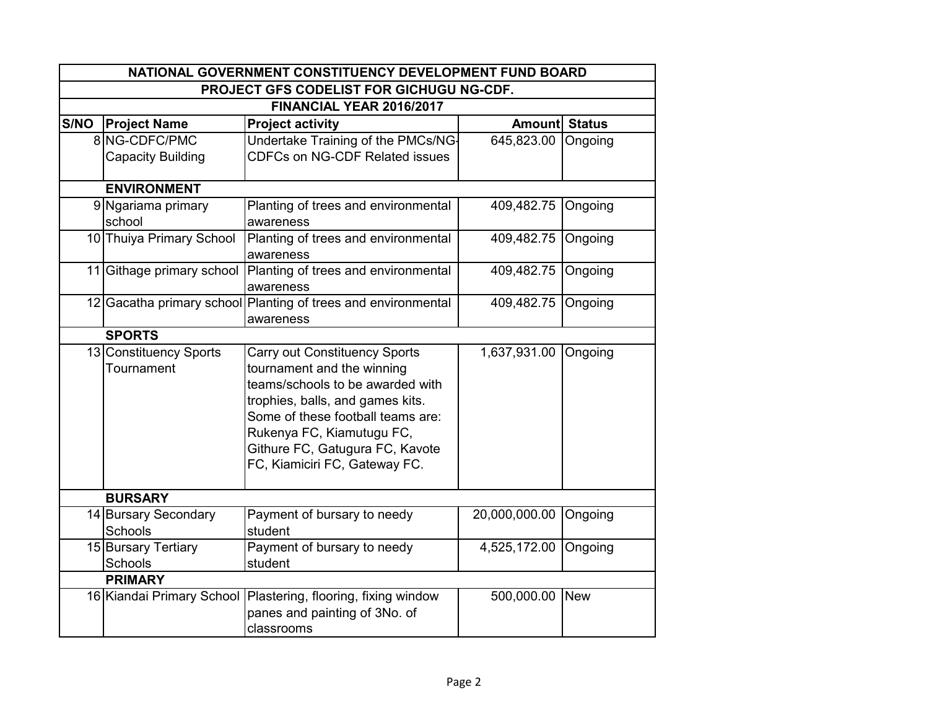| NATIONAL GOVERNMENT CONSTITUENCY DEVELOPMENT FUND BOARD |                                          |                                                               |                      |         |  |
|---------------------------------------------------------|------------------------------------------|---------------------------------------------------------------|----------------------|---------|--|
|                                                         | PROJECT GFS CODELIST FOR GICHUGU NG-CDF. |                                                               |                      |         |  |
|                                                         |                                          | FINANCIAL YEAR 2016/2017                                      |                      |         |  |
| S/NO                                                    | <b>Project Name</b>                      | <b>Project activity</b>                                       | <b>Amount Status</b> |         |  |
|                                                         | 8 NG-CDFC/PMC                            | Undertake Training of the PMCs/NG-                            | 645,823.00           | Ongoing |  |
|                                                         | <b>Capacity Building</b>                 | <b>CDFCs on NG-CDF Related issues</b>                         |                      |         |  |
|                                                         |                                          |                                                               |                      |         |  |
|                                                         | <b>ENVIRONMENT</b>                       |                                                               |                      |         |  |
|                                                         | 9 Ngariama primary                       | Planting of trees and environmental                           | 409,482.75           | Ongoing |  |
|                                                         | school                                   | awareness                                                     |                      |         |  |
|                                                         | 10 Thuiya Primary School                 | Planting of trees and environmental                           | 409,482.75           | Ongoing |  |
|                                                         | 11 Githage primary school                | awareness                                                     | 409,482.75           |         |  |
|                                                         |                                          | Planting of trees and environmental<br>awareness              |                      | Ongoing |  |
|                                                         |                                          | 12 Gacatha primary school Planting of trees and environmental | 409,482.75           | Ongoing |  |
|                                                         |                                          | awareness                                                     |                      |         |  |
|                                                         | <b>SPORTS</b>                            |                                                               |                      |         |  |
|                                                         | 13 Constituency Sports                   | <b>Carry out Constituency Sports</b>                          | 1,637,931.00         | Ongoing |  |
|                                                         | Tournament                               | tournament and the winning                                    |                      |         |  |
|                                                         |                                          | teams/schools to be awarded with                              |                      |         |  |
|                                                         |                                          | trophies, balls, and games kits.                              |                      |         |  |
|                                                         |                                          | Some of these football teams are:                             |                      |         |  |
|                                                         |                                          | Rukenya FC, Kiamutugu FC,                                     |                      |         |  |
|                                                         |                                          | Githure FC, Gatugura FC, Kavote                               |                      |         |  |
|                                                         |                                          | FC, Kiamiciri FC, Gateway FC.                                 |                      |         |  |
|                                                         |                                          |                                                               |                      |         |  |
|                                                         | <b>BURSARY</b>                           |                                                               |                      |         |  |
|                                                         | 14 Bursary Secondary                     | Payment of bursary to needy                                   | 20,000,000.00        | Ongoing |  |
|                                                         | Schools                                  | student                                                       |                      |         |  |
|                                                         | 15 Bursary Tertiary                      | Payment of bursary to needy                                   | 4,525,172.00         | Ongoing |  |
|                                                         | Schools                                  | student                                                       |                      |         |  |
|                                                         | <b>PRIMARY</b>                           |                                                               |                      |         |  |
|                                                         | 16 Kiandai Primary School                | Plastering, flooring, fixing window                           | 500,000.00 New       |         |  |
|                                                         |                                          | panes and painting of 3No. of                                 |                      |         |  |
|                                                         |                                          | classrooms                                                    |                      |         |  |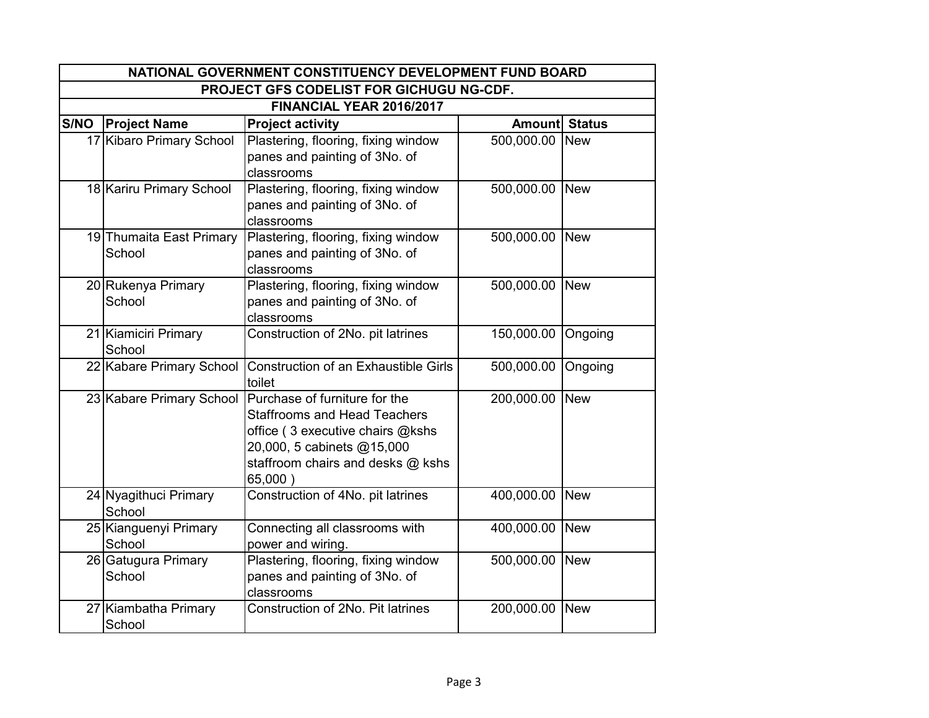|      | NATIONAL GOVERNMENT CONSTITUENCY DEVELOPMENT FUND BOARD |                                                                                                                                                                                        |                |               |  |
|------|---------------------------------------------------------|----------------------------------------------------------------------------------------------------------------------------------------------------------------------------------------|----------------|---------------|--|
|      | PROJECT GFS CODELIST FOR GICHUGU NG-CDF.                |                                                                                                                                                                                        |                |               |  |
|      |                                                         | FINANCIAL YEAR 2016/2017                                                                                                                                                               |                |               |  |
| S/NO | <b>Project Name</b>                                     | <b>Project activity</b>                                                                                                                                                                | <b>Amount</b>  | <b>Status</b> |  |
|      | 17 Kibaro Primary School                                | Plastering, flooring, fixing window<br>panes and painting of 3No. of<br>classrooms                                                                                                     | 500,000.00 New |               |  |
|      | 18 Kariru Primary School                                | Plastering, flooring, fixing window<br>panes and painting of 3No. of<br>classrooms                                                                                                     | 500,000.00 New |               |  |
|      | 19 Thumaita East Primary<br>School                      | Plastering, flooring, fixing window<br>panes and painting of 3No. of<br>classrooms                                                                                                     | 500,000.00 New |               |  |
|      | 20 Rukenya Primary<br>School                            | Plastering, flooring, fixing window<br>panes and painting of 3No. of<br>classrooms                                                                                                     | 500,000.00 New |               |  |
|      | 21 Kiamiciri Primary<br>School                          | Construction of 2No. pit latrines                                                                                                                                                      | 150,000.00     | Ongoing       |  |
|      | 22 Kabare Primary School                                | Construction of an Exhaustible Girls<br>toilet                                                                                                                                         | 500,000.00     | Ongoing       |  |
|      | 23 Kabare Primary School                                | Purchase of furniture for the<br><b>Staffrooms and Head Teachers</b><br>office (3 executive chairs @kshs<br>20,000, 5 cabinets @15,000<br>staffroom chairs and desks @ kshs<br>65,000) | 200,000.00 New |               |  |
|      | 24 Nyagithuci Primary<br>School                         | Construction of 4No. pit latrines                                                                                                                                                      | 400,000.00 New |               |  |
|      | 25 Kianguenyi Primary<br>School                         | Connecting all classrooms with<br>power and wiring.                                                                                                                                    | 400,000.00 New |               |  |
|      | 26 Gatugura Primary<br>School                           | Plastering, flooring, fixing window<br>panes and painting of 3No. of<br>classrooms                                                                                                     | 500,000.00 New |               |  |
|      | 27 Kiambatha Primary<br>School                          | Construction of 2No. Pit latrines                                                                                                                                                      | 200,000.00 New |               |  |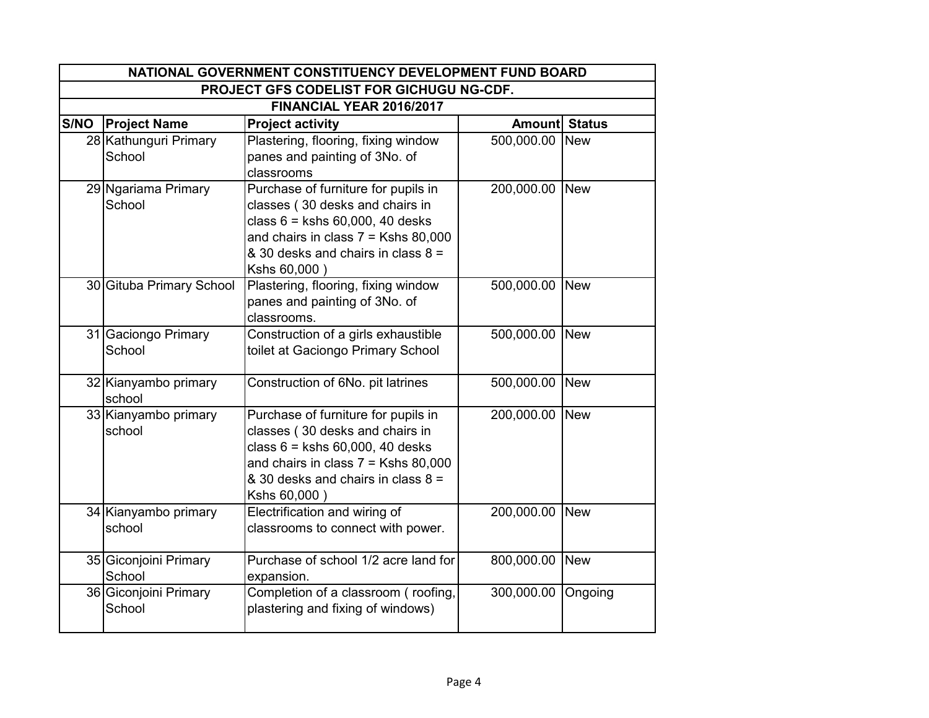|                                          | NATIONAL GOVERNMENT CONSTITUENCY DEVELOPMENT FUND BOARD |                                                                                                                                                                                                              |                      |            |
|------------------------------------------|---------------------------------------------------------|--------------------------------------------------------------------------------------------------------------------------------------------------------------------------------------------------------------|----------------------|------------|
| PROJECT GFS CODELIST FOR GICHUGU NG-CDF. |                                                         |                                                                                                                                                                                                              |                      |            |
|                                          |                                                         | FINANCIAL YEAR 2016/2017                                                                                                                                                                                     |                      |            |
| S/NO                                     | <b>Project Name</b>                                     | <b>Project activity</b>                                                                                                                                                                                      | <b>Amount Status</b> |            |
|                                          | 28 Kathunguri Primary<br>School                         | Plastering, flooring, fixing window<br>panes and painting of 3No. of<br>classrooms                                                                                                                           | 500,000.00 New       |            |
|                                          | 29 Ngariama Primary<br>School                           | Purchase of furniture for pupils in<br>classes (30 desks and chairs in<br>class $6 =$ kshs $60,000, 40$ desks<br>and chairs in class $7 =$ Kshs 80,000<br>& 30 desks and chairs in class 8 =<br>Kshs 60,000) | 200,000.00 New       |            |
|                                          | 30 Gituba Primary School                                | Plastering, flooring, fixing window<br>panes and painting of 3No. of<br>classrooms.                                                                                                                          | 500,000.00 New       |            |
|                                          | 31 Gaciongo Primary<br>School                           | Construction of a girls exhaustible<br>toilet at Gaciongo Primary School                                                                                                                                     | 500,000.00 New       |            |
|                                          | 32 Kianyambo primary<br>school                          | Construction of 6No. pit latrines                                                                                                                                                                            | 500,000.00           | <b>New</b> |
|                                          | 33 Kianyambo primary<br>school                          | Purchase of furniture for pupils in<br>classes (30 desks and chairs in<br>class $6 =$ kshs $60,000, 40$ desks<br>and chairs in class $7 =$ Kshs 80,000<br>& 30 desks and chairs in class 8 =<br>Kshs 60,000) | 200,000.00 New       |            |
|                                          | 34 Kianyambo primary<br>school                          | Electrification and wiring of<br>classrooms to connect with power.                                                                                                                                           | 200,000.00 New       |            |
|                                          | 35 Giconjoini Primary<br>School                         | Purchase of school 1/2 acre land for<br>expansion.                                                                                                                                                           | 800,000.00           | <b>New</b> |
|                                          | 36 Giconjoini Primary<br>School                         | Completion of a classroom (roofing,<br>plastering and fixing of windows)                                                                                                                                     | 300,000.00           | Ongoing    |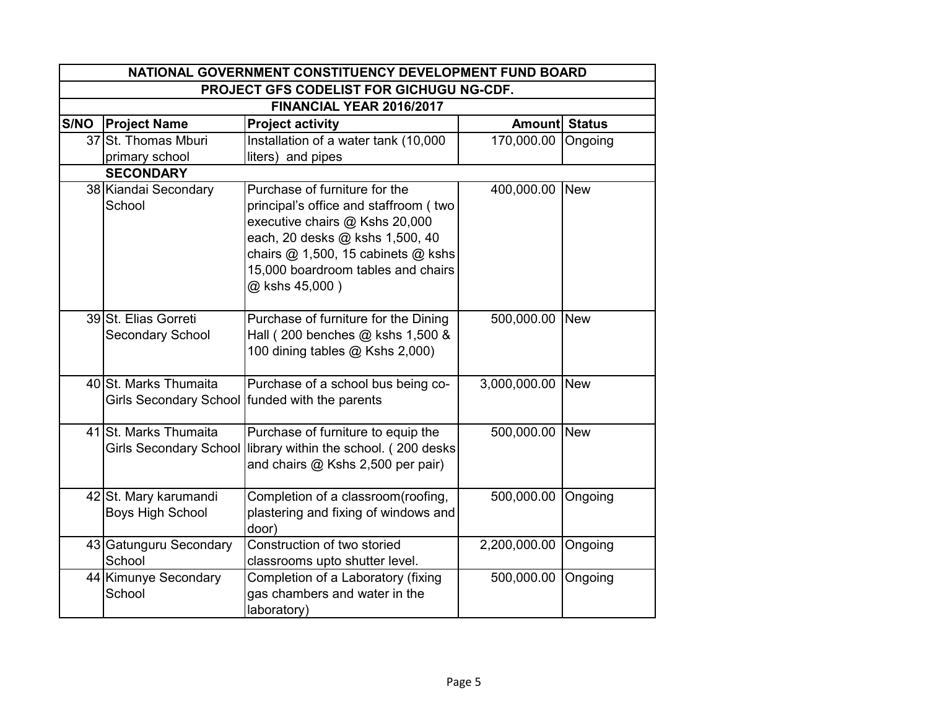|      | NATIONAL GOVERNMENT CONSTITUENCY DEVELOPMENT FUND BOARD |                                                                                                                                                                                                                                           |                       |            |  |
|------|---------------------------------------------------------|-------------------------------------------------------------------------------------------------------------------------------------------------------------------------------------------------------------------------------------------|-----------------------|------------|--|
|      | PROJECT GFS CODELIST FOR GICHUGU NG-CDF.                |                                                                                                                                                                                                                                           |                       |            |  |
|      |                                                         | FINANCIAL YEAR 2016/2017                                                                                                                                                                                                                  |                       |            |  |
| S/NO | <b>Project Name</b>                                     | <b>Project activity</b>                                                                                                                                                                                                                   | <b>Amountl Status</b> |            |  |
|      | 37 St. Thomas Mburi                                     | Installation of a water tank (10,000                                                                                                                                                                                                      | 170,000.00            | Ongoing    |  |
|      | primary school                                          | liters) and pipes                                                                                                                                                                                                                         |                       |            |  |
|      | <b>SECONDARY</b>                                        |                                                                                                                                                                                                                                           |                       |            |  |
|      | 38 Kiandai Secondary<br>School                          | Purchase of furniture for the<br>principal's office and staffroom (two<br>executive chairs @ Kshs 20,000<br>each, 20 desks @ kshs 1,500, 40<br>chairs @ 1,500, 15 cabinets @ kshs<br>15,000 boardroom tables and chairs<br>@ kshs 45,000) | 400,000.00            | <b>New</b> |  |
|      | 39 St. Elias Gorreti<br>Secondary School                | Purchase of furniture for the Dining<br>Hall (200 benches @ kshs 1,500 &<br>100 dining tables @ Kshs 2,000)                                                                                                                               | 500,000.00            | <b>New</b> |  |
|      | 40 St. Marks Thumaita                                   | Purchase of a school bus being co-<br>Girls Secondary School funded with the parents                                                                                                                                                      | 3,000,000.00          | <b>New</b> |  |
|      | 41 St. Marks Thumaita                                   | Purchase of furniture to equip the<br>Girls Secondary School library within the school. (200 desks<br>and chairs @ Kshs 2,500 per pair)                                                                                                   | 500,000.00            | <b>New</b> |  |
|      | 42 St. Mary karumandi<br><b>Boys High School</b>        | Completion of a classroom(roofing,<br>plastering and fixing of windows and<br>door)                                                                                                                                                       | 500,000.00            | Ongoing    |  |
|      | 43 Gatunguru Secondary<br>School                        | Construction of two storied<br>classrooms upto shutter level.                                                                                                                                                                             | 2,200,000.00          | Ongoing    |  |
|      | 44 Kimunye Secondary<br>School                          | Completion of a Laboratory (fixing<br>gas chambers and water in the<br>laboratory)                                                                                                                                                        | 500,000.00            | Ongoing    |  |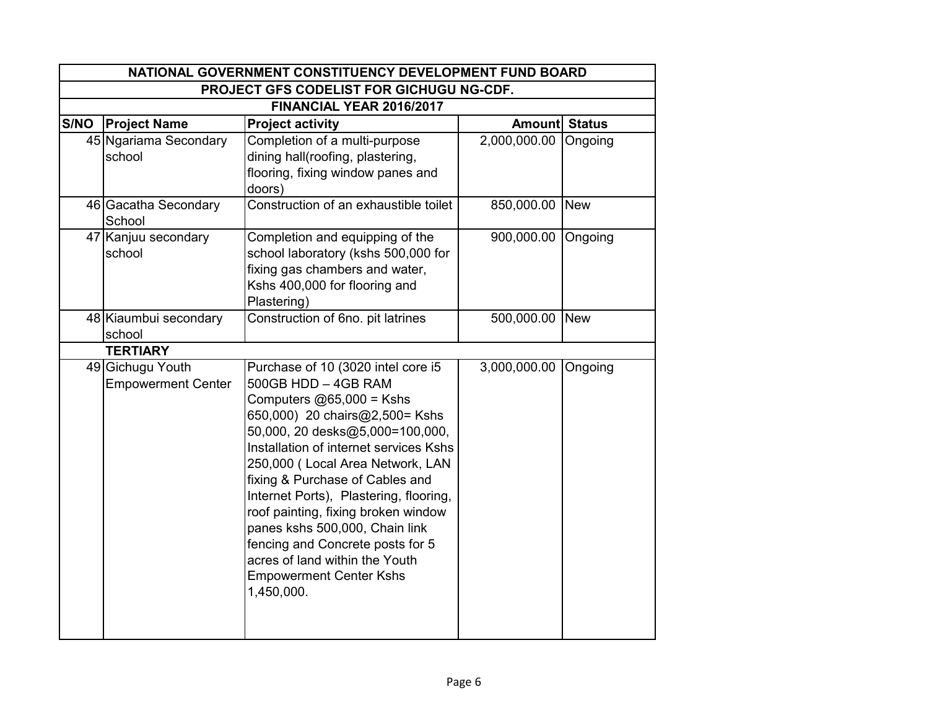|      | NATIONAL GOVERNMENT CONSTITUENCY DEVELOPMENT FUND BOARD |                                                                                                                                                                                                                                                                                                                                                                                                                                                                                                                          |                      |         |  |
|------|---------------------------------------------------------|--------------------------------------------------------------------------------------------------------------------------------------------------------------------------------------------------------------------------------------------------------------------------------------------------------------------------------------------------------------------------------------------------------------------------------------------------------------------------------------------------------------------------|----------------------|---------|--|
|      | PROJECT GFS CODELIST FOR GICHUGU NG-CDF.                |                                                                                                                                                                                                                                                                                                                                                                                                                                                                                                                          |                      |         |  |
|      |                                                         | FINANCIAL YEAR 2016/2017                                                                                                                                                                                                                                                                                                                                                                                                                                                                                                 |                      |         |  |
| S/NO | <b>Project Name</b>                                     | <b>Project activity</b>                                                                                                                                                                                                                                                                                                                                                                                                                                                                                                  | Amount Status        |         |  |
|      | 45 Ngariama Secondary<br>school                         | Completion of a multi-purpose<br>dining hall(roofing, plastering,<br>flooring, fixing window panes and<br>doors)                                                                                                                                                                                                                                                                                                                                                                                                         | 2,000,000.00 Ongoing |         |  |
|      | 46 Gacatha Secondary<br>School                          | Construction of an exhaustible toilet                                                                                                                                                                                                                                                                                                                                                                                                                                                                                    | 850,000.00 New       |         |  |
|      | 47 Kanjuu secondary<br>school                           | Completion and equipping of the<br>school laboratory (kshs 500,000 for<br>fixing gas chambers and water,<br>Kshs 400,000 for flooring and<br>Plastering)                                                                                                                                                                                                                                                                                                                                                                 | 900,000.00           | Ongoing |  |
|      | 48 Kiaumbui secondary<br>school                         | Construction of 6no. pit latrines                                                                                                                                                                                                                                                                                                                                                                                                                                                                                        | 500,000.00 New       |         |  |
|      | <b>TERTIARY</b>                                         |                                                                                                                                                                                                                                                                                                                                                                                                                                                                                                                          |                      |         |  |
|      | 49 Gichugu Youth<br><b>Empowerment Center</b>           | Purchase of 10 (3020 intel core i5<br>$500GB HDD - 4GB RAM$<br>Computers $@65,000 =$ Kshs<br>650,000) 20 chairs@2,500= Kshs<br>50,000, 20 desks@5,000=100,000,<br>Installation of internet services Kshs<br>250,000 (Local Area Network, LAN<br>fixing & Purchase of Cables and<br>Internet Ports), Plastering, flooring,<br>roof painting, fixing broken window<br>panes kshs 500,000, Chain link<br>fencing and Concrete posts for 5<br>acres of land within the Youth<br><b>Empowerment Center Kshs</b><br>1,450,000. | 3,000,000.00         | Ongoing |  |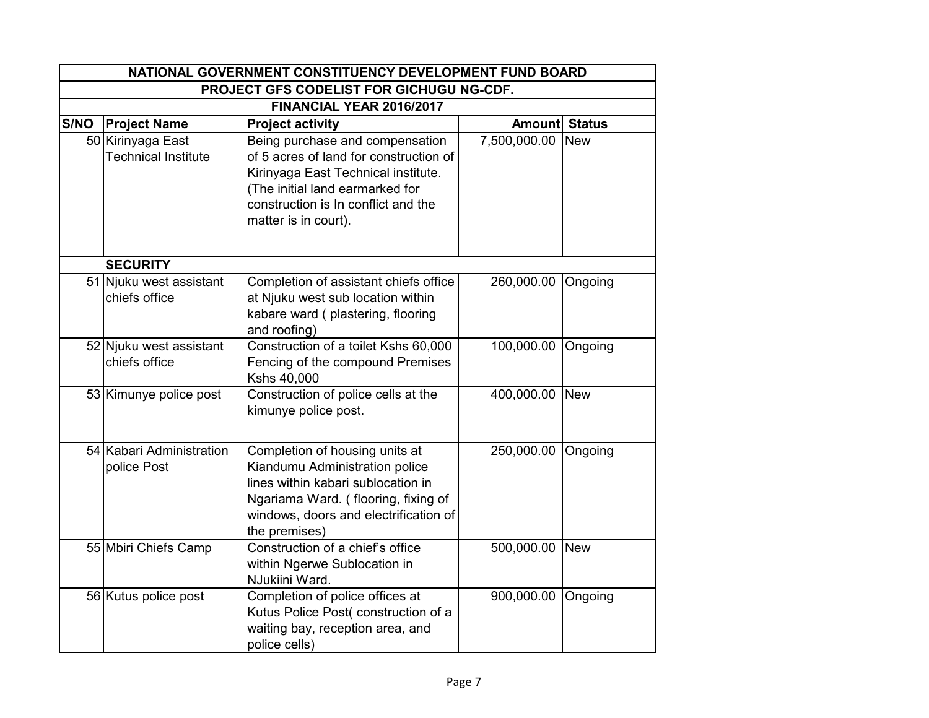|      | NATIONAL GOVERNMENT CONSTITUENCY DEVELOPMENT FUND BOARD |                                                                                                                                                                                                                    |                |               |  |  |
|------|---------------------------------------------------------|--------------------------------------------------------------------------------------------------------------------------------------------------------------------------------------------------------------------|----------------|---------------|--|--|
|      | PROJECT GFS CODELIST FOR GICHUGU NG-CDF.                |                                                                                                                                                                                                                    |                |               |  |  |
|      | FINANCIAL YEAR 2016/2017                                |                                                                                                                                                                                                                    |                |               |  |  |
| S/NO | <b>Project Name</b>                                     | <b>Project activity</b>                                                                                                                                                                                            | <b>Amount</b>  | <b>Status</b> |  |  |
|      | 50 Kirinyaga East<br><b>Technical Institute</b>         | Being purchase and compensation<br>of 5 acres of land for construction of<br>Kirinyaga East Technical institute.<br>(The initial land earmarked for<br>construction is In conflict and the<br>matter is in court). | 7,500,000.00   | <b>New</b>    |  |  |
|      | <b>SECURITY</b>                                         |                                                                                                                                                                                                                    |                |               |  |  |
|      | 51 Njuku west assistant<br>chiefs office                | Completion of assistant chiefs office<br>at Njuku west sub location within<br>kabare ward (plastering, flooring<br>and roofing)                                                                                    | 260,000.00     | Ongoing       |  |  |
|      | 52 Njuku west assistant<br>chiefs office                | Construction of a toilet Kshs 60,000<br>Fencing of the compound Premises<br>Kshs 40,000                                                                                                                            | 100,000.00     | Ongoing       |  |  |
|      | 53 Kimunye police post                                  | Construction of police cells at the<br>kimunye police post.                                                                                                                                                        | 400,000.00 New |               |  |  |
|      | 54 Kabari Administration<br>police Post                 | Completion of housing units at<br>Kiandumu Administration police<br>lines within kabari sublocation in<br>Ngariama Ward. (flooring, fixing of<br>windows, doors and electrification of<br>the premises)            | 250,000.00     | Ongoing       |  |  |
|      | 55 Mbiri Chiefs Camp                                    | Construction of a chief's office<br>within Ngerwe Sublocation in<br>NJukiini Ward.                                                                                                                                 | 500,000.00 New |               |  |  |
|      | 56 Kutus police post                                    | Completion of police offices at<br>Kutus Police Post(construction of a<br>waiting bay, reception area, and<br>police cells)                                                                                        | 900,000.00     | Ongoing       |  |  |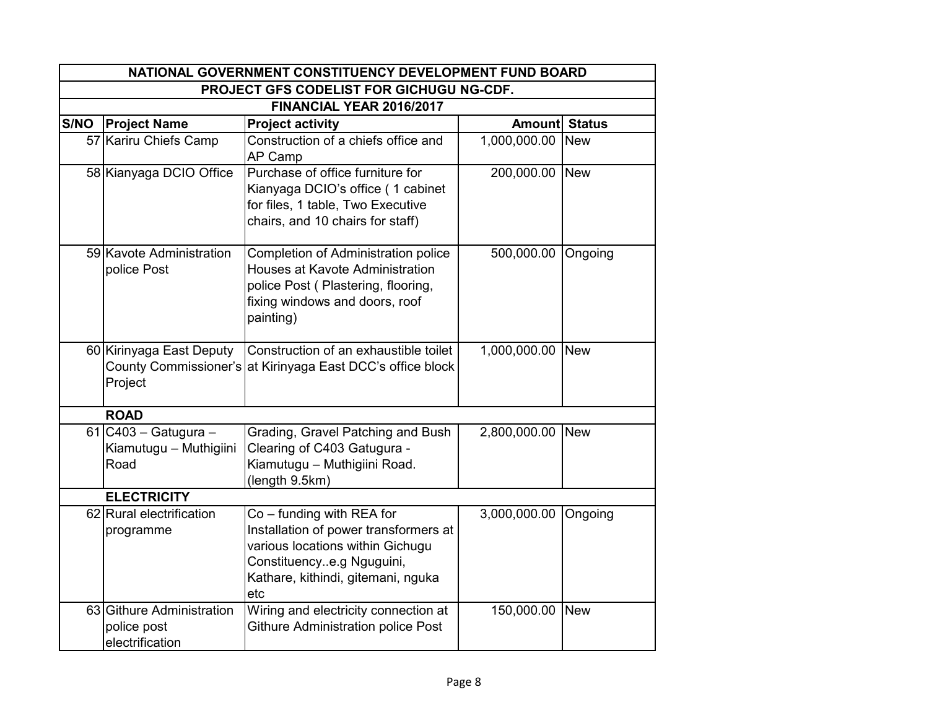|      | NATIONAL GOVERNMENT CONSTITUENCY DEVELOPMENT FUND BOARD     |                                                                                                                                                                                    |                      |            |
|------|-------------------------------------------------------------|------------------------------------------------------------------------------------------------------------------------------------------------------------------------------------|----------------------|------------|
|      | PROJECT GFS CODELIST FOR GICHUGU NG-CDF.                    |                                                                                                                                                                                    |                      |            |
|      |                                                             | FINANCIAL YEAR 2016/2017                                                                                                                                                           |                      |            |
| S/NO | <b>Project Name</b>                                         | <b>Project activity</b>                                                                                                                                                            | <b>Amount Status</b> |            |
|      | 57 Kariru Chiefs Camp                                       | Construction of a chiefs office and<br>AP Camp                                                                                                                                     | 1,000,000.00         | <b>New</b> |
|      | 58 Kianyaga DCIO Office                                     | Purchase of office furniture for<br>Kianyaga DCIO's office (1 cabinet<br>for files, 1 table, Two Executive<br>chairs, and 10 chairs for staff)                                     | 200,000.00           | <b>New</b> |
|      | 59 Kavote Administration<br>police Post                     | Completion of Administration police<br>Houses at Kavote Administration<br>police Post (Plastering, flooring,<br>fixing windows and doors, roof<br>painting)                        | 500,000.00           | Ongoing    |
|      | 60 Kirinyaga East Deputy<br>Project                         | Construction of an exhaustible toilet<br>County Commissioner's at Kirinyaga East DCC's office block                                                                                | 1,000,000.00 New     |            |
|      | <b>ROAD</b>                                                 |                                                                                                                                                                                    |                      |            |
|      | $61$ C403 - Gatugura -<br>Kiamutugu - Muthigiini<br>Road    | Grading, Gravel Patching and Bush<br>Clearing of C403 Gatugura -<br>Kiamutugu - Muthigiini Road.<br>(length 9.5km)                                                                 | 2,800,000.00 New     |            |
|      | <b>ELECTRICITY</b>                                          |                                                                                                                                                                                    |                      |            |
|      | 62 Rural electrification<br>programme                       | $Co$ – funding with REA for<br>Installation of power transformers at<br>various locations within Gichugu<br>Constituencye.g Nguguini,<br>Kathare, kithindi, gitemani, nguka<br>etc | 3,000,000.00         | Ongoing    |
|      | 63 Githure Administration<br>police post<br>electrification | Wiring and electricity connection at<br><b>Githure Administration police Post</b>                                                                                                  | 150,000.00           | <b>New</b> |